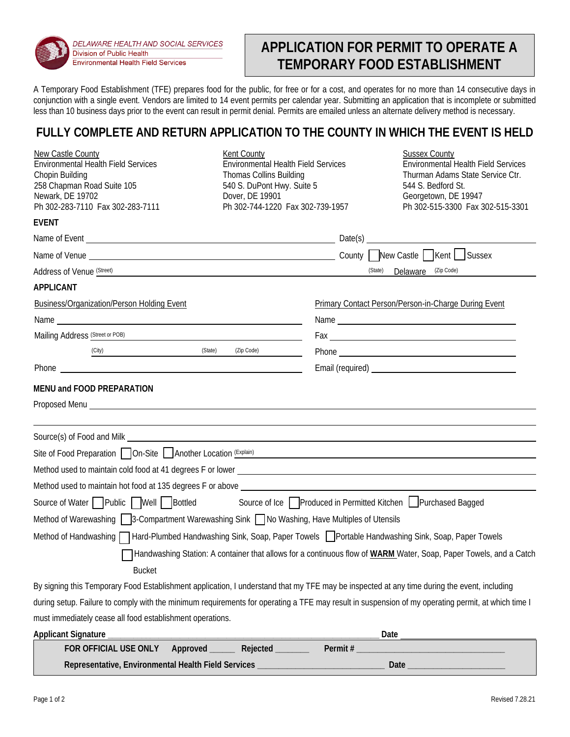

DELAWARE HEALTH AND SOCIAL SERVICES Division of Public Health **Environmental Health Field Services** 

# **APPLICATION FOR PERMIT TO OPERATE A TEMPORARY FOOD ESTABLISHMENT**

A Temporary Food Establishment (TFE) prepares food for the public, for free or for a cost, and operates for no more than 14 consecutive days in conjunction with a single event. Vendors are limited to 14 event permits per calendar year. Submitting an application that is incomplete or submitted less than 10 business days prior to the event can result in permit denial. Permits are emailed unless an alternate delivery method is necessary.

# **FULLY COMPLETE AND RETURN APPLICATION TO THE COUNTY IN WHICH THE EVENT IS HELD**

| <b>New Castle County</b><br>Environmental Health Field Services                                                                                                                                                                           | Kent County<br><b>Environmental Health Field Services</b>                                                             |                                                      | <b>Sussex County</b><br>Environmental Health Field Services |
|-------------------------------------------------------------------------------------------------------------------------------------------------------------------------------------------------------------------------------------------|-----------------------------------------------------------------------------------------------------------------------|------------------------------------------------------|-------------------------------------------------------------|
| Chopin Building                                                                                                                                                                                                                           | Thomas Collins Building                                                                                               |                                                      | Thurman Adams State Service Ctr.                            |
| 258 Chapman Road Suite 105<br>Newark, DE 19702                                                                                                                                                                                            | 540 S. DuPont Hwy. Suite 5<br>Dover, DE 19901                                                                         |                                                      | 544 S. Bedford St.                                          |
| Ph 302-283-7110 Fax 302-283-7111                                                                                                                                                                                                          | Ph 302-744-1220 Fax 302-739-1957                                                                                      |                                                      | Georgetown, DE 19947<br>Ph 302-515-3300 Fax 302-515-3301    |
| EVENT                                                                                                                                                                                                                                     |                                                                                                                       |                                                      |                                                             |
|                                                                                                                                                                                                                                           |                                                                                                                       |                                                      |                                                             |
|                                                                                                                                                                                                                                           |                                                                                                                       |                                                      |                                                             |
| Address of Venue (Street)                                                                                                                                                                                                                 | <u> 1980 - Johann Barbara, martin amerikan basar dan basa dan basa dan basa dan basa dan basa dan basa dan basa d</u> | (State)                                              | Delaware (Zip Code)                                         |
| APPLICANT                                                                                                                                                                                                                                 |                                                                                                                       |                                                      |                                                             |
| Business/Organization/Person Holding Event                                                                                                                                                                                                |                                                                                                                       | Primary Contact Person/Person-in-Charge During Event |                                                             |
|                                                                                                                                                                                                                                           |                                                                                                                       |                                                      |                                                             |
| Mailing Address (Street or POB) <b>Container and Container and Container and Container and Container and Container</b>                                                                                                                    |                                                                                                                       |                                                      |                                                             |
| Sate)<br>(City)                                                                                                                                                                                                                           | (Zip Code)                                                                                                            |                                                      |                                                             |
| Phone <u>that is a straightful and the straight and the straight and the straight and the straight and the straight</u>                                                                                                                   |                                                                                                                       |                                                      |                                                             |
| MENU and FOOD PREPARATION                                                                                                                                                                                                                 |                                                                                                                       |                                                      |                                                             |
| Proposed Menu <b>contract and the contract of the contract of the contract of the contract of the contract of the contract of the contract of the contract of the contract of the contract of the contract of the contract of th</b>      |                                                                                                                       |                                                      |                                                             |
|                                                                                                                                                                                                                                           |                                                                                                                       |                                                      |                                                             |
|                                                                                                                                                                                                                                           |                                                                                                                       |                                                      |                                                             |
| Site of Food Preparation <b>On-Site Another Location</b> (Explain) <b>Constant Constant Constant Constant Constant Constant Constant Constant Constant Constant Constant Constant Constant Constant Constant Constant Constant Consta</b> |                                                                                                                       |                                                      |                                                             |
|                                                                                                                                                                                                                                           |                                                                                                                       |                                                      |                                                             |
|                                                                                                                                                                                                                                           |                                                                                                                       |                                                      |                                                             |
| Source of Water Public Well Bottled Source of Ice Produced in Permitted Kitchen Purchased Bagged                                                                                                                                          |                                                                                                                       |                                                      |                                                             |
| Method of Warewashing 3-Compartment Warewashing Sink No Washing, Have Multiples of Utensils                                                                                                                                               |                                                                                                                       |                                                      |                                                             |
| Method of Handwashing   Hard-Plumbed Handwashing Sink, Soap, Paper Towels   Portable Handwashing Sink, Soap, Paper Towels                                                                                                                 |                                                                                                                       |                                                      |                                                             |
| Handwashing Station: A container that allows for a continuous flow of WARM Water, Soap, Paper Towels, and a Catch                                                                                                                         |                                                                                                                       |                                                      |                                                             |
| <b>Bucket</b>                                                                                                                                                                                                                             |                                                                                                                       |                                                      |                                                             |
| By signing this Temporary Food Establishment application, I understand that my TFE may be inspected at any time during the event, including                                                                                               |                                                                                                                       |                                                      |                                                             |
| during setup. Failure to comply with the minimum requirements for operating a TFE may result in suspension of my operating permit, at which time I                                                                                        |                                                                                                                       |                                                      |                                                             |
| must immediately cease all food establishment operations.                                                                                                                                                                                 |                                                                                                                       |                                                      |                                                             |
| Applicant Signature                                                                                                                                                                                                                       |                                                                                                                       |                                                      | Date                                                        |
| FOR OFFICIAL USE ONLY<br>Approved                                                                                                                                                                                                         | Rejected                                                                                                              | Permit#                                              |                                                             |

**Representative, Environmental Health Field Services \_\_\_\_\_\_\_\_\_\_\_\_\_\_\_\_\_\_\_\_\_\_\_\_\_\_\_\_\_\_ Date \_\_\_\_\_\_\_\_\_\_\_\_\_\_\_\_\_\_\_\_\_\_\_**